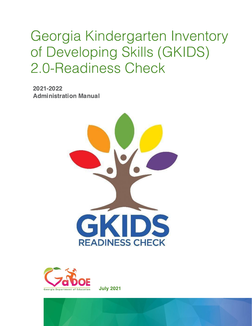## Georgia Kindergarten Inventory of Developing Skills (GKIDS) 2.0-Readiness Check

2021-2022 **Administration Manual** 





**July 2021**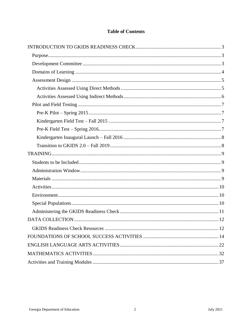#### **Table of Contents**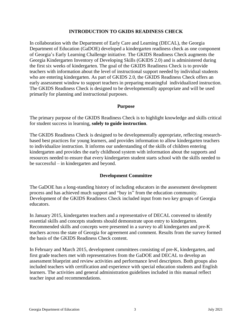#### **INTRODUCTION TO GKIDS READINESS CHECK**

<span id="page-2-0"></span>In collaboration with the Department of Early Care and Learning (DECAL), the Georgia Department of Education (GaDOE) developed a kindergarten readiness check as one component of Georgia's Early Learning Challenge initiative. The GKIDS Readiness Check augments the Georgia Kindergarten Inventory of Developing Skills (GKIDS 2.0) and is administered during the first six weeks of kindergarten. The goal of the GKIDS Readiness Check is to provide teachers with information about the level of instructional support needed by individual students who are entering kindergarten. As part of GKIDS 2.0, the GKIDS Readiness Check offers an early assessment window to support teachers in preparing meaningful individualized instruction. The GKIDS Readiness Check is designed to be developmentally appropriate and will be used primarily for planning and instructional purposes.

#### **Purpose**

<span id="page-2-1"></span>The primary purpose of the GKIDS Readiness Check is to highlight knowledge and skills critical for student success in learning, **solely to guide instruction**.

The GKIDS Readiness Check is designed to be developmentally appropriate, reflecting researchbased best practices for young learners, and provides information to allow kindergarten teachers to individualize instruction. It informs our understanding of the skills of children entering kindergarten and provides the early childhood system with information about the supports and resources needed to ensure that every kindergarten student starts school with the skills needed to be successful – in kindergarten and beyond.

#### **Development Committee**

<span id="page-2-2"></span>The GaDOE has a long-standing history of including educators in the assessment development process and has achieved much support and "buy in" from the education community. Development of the GKIDS Readiness Check included input from two key groups of Georgia educators.

In January 2015, kindergarten teachers and a representative of DECAL convened to identify essential skills and concepts students should demonstrate upon entry to kindergarten. Recommended skills and concepts were presented in a survey to all kindergarten and pre-K teachers across the state of Georgia for agreement and comment. Results from the survey formed the basis of the GKIDS Readiness Check content.

In February and March 2015, development committees consisting of pre-K, kindergarten, and first grade teachers met with representatives from the GaDOE and DECAL to develop an assessment blueprint and review activities and performance level descriptors. Both groups also included teachers with certification and experience with special education students and English learners. The activities and general administration guidelines included in this manual reflect teacher input and recommendations.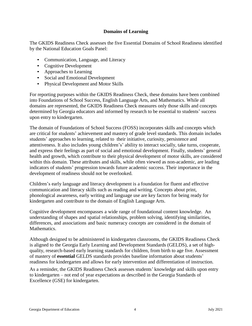#### **Domains of Learning**

<span id="page-3-0"></span>The GKIDS Readiness Check assesses the five Essential Domains of School Readiness identified by the National Education Goals Panel:

- Communication, Language, and Literacy
- Cognitive Development
- Approaches to Learning
- Social and Emotional Development
- Physical Development and Motor Skills

For reporting purposes within the GKIDS Readiness Check, these domains have been combined into Foundations of School Success, English Language Arts, and Mathematics. While all domains are represented, the GKIDS Readiness Check measures only those skills and concepts determined by Georgia educators and informed by research to be essential to students' success upon entry to kindergarten.

The domain of Foundations of School Success (FOSS) incorporates skills and concepts which are critical for students' achievement and mastery of grade level standards. This domain includes students' approaches to learning, related to their initiative, curiosity, persistence and attentiveness. It also includes young children's' ability to interact socially, take turns, cooperate, and express their feelings as part of social and emotional development. Finally, students' general health and growth, which contribute to their physical development of motor skills, are considered within this domain. These attributes and skills, while often viewed as non-academic, are leading indicators of students' progression towards future academic success. Their importance in the development of readiness should not be overlooked.

Children's early language and literacy development is a foundation for fluent and effective communication and literacy skills such as reading and writing. Concepts about print, phonological awareness, early writing and language use are key factors for being ready for kindergarten and contribute to the domain of English Language Arts.

Cognitive development encompasses a wide range of foundational content knowledge. An understanding of shapes and spatial relationships, problem solving, identifying similarities, differences, and associations and basic numeracy concepts are considered in the domain of Mathematics.

Although designed to be administered in kindergarten classrooms, the GKIDS Readiness Check is aligned to the Georgia Early Learning and Development Standards (GELDS), a set of highquality, research-based early learning standards for children, from birth to age five. Assessment of mastery of **essential** GELDS standards provides baseline information about students' readiness for kindergarten and allows for early intervention and differentiation of instruction.

As a reminder, the GKIDS Readiness Check assesses students' knowledge and skills upon entry to kindergarten – not end of year expectations as described in the Georgia Standards of Excellence (GSE) for kindergarten.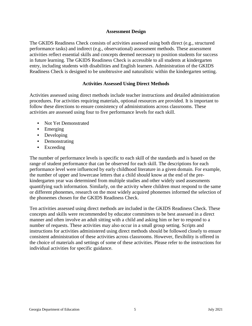#### **Assessment Design**

<span id="page-4-0"></span>The GKIDS Readiness Check consists of activities assessed using both direct (e.g., structured performance tasks) and indirect (e.g., observational) assessment methods. These assessment activities reflect essential skills and concepts deemed necessary to position students for success in future learning. The GKIDS Readiness Check is accessible to all students at kindergarten entry, including students with disabilities and English learners. Administration of the GKIDS Readiness Check is designed to be unobtrusive and naturalistic within the kindergarten setting.

#### **Activities Assessed Using Direct Methods**

<span id="page-4-1"></span>Activities assessed using direct methods include teacher instructions and detailed administration procedures. For activities requiring materials, optional resources are provided. It is important to follow these directions to ensure consistency of administrations across classrooms. These activities are assessed using four to five performance levels for each skill.

- Not Yet Demonstrated
- Emerging
- Developing
- Demonstrating
- Exceeding

The number of performance levels is specific to each skill of the standards and is based on the range of student performance that can be observed for each skill. The descriptions for each performance level were influenced by early childhood literature in a given domain. For example, the number of upper and lowercase letters that a child should know at the end of the prekindergarten year was determined from multiple studies and other widely used assessments quantifying such information. Similarly, on the activity where children must respond to the same or different phonemes, research on the most widely acquired phonemes informed the selection of the phonemes chosen for the GKIDS Readiness Check.

Ten activities assessed using direct methods are included in the GKIDS Readiness Check. These concepts and skills were recommended by educator committees to be best assessed in a direct manner and often involve an adult sitting with a child and asking him or her to respond to a number of requests. These activities may also occur in a small group setting. Scripts and instructions for activities administered using direct methods should be followed closely to ensure consistent administration of these activities across classrooms. However, flexibility is offered in the choice of materials and settings of some of these activities. Please refer to the instructions for individual activities for specific guidance.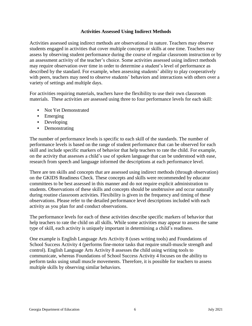#### **Activities Assessed Using Indirect Methods**

<span id="page-5-0"></span>Activities assessed using indirect methods are observational in nature. Teachers may observe students engaged in activities that cover multiple concepts or skills at one time. Teachers may assess by observing student performance during the course of regular classroom instruction or by an assessment activity of the teacher's choice. Some activities assessed using indirect methods may require observation over time in order to determine a student's level of performance as described by the standard. For example, when assessing students' ability to play cooperatively with peers, teachers may need to observe students' behaviors and interactions with others over a variety of settings and multiple days.

For activities requiring materials, teachers have the flexibility to use their own classroom materials. These activities are assessed using three to four performance levels for each skill:

- Not Yet Demonstrated
- Emerging
- Developing
- Demonstrating

The number of performance levels is specific to each skill of the standards. The number of performance levels is based on the range of student performance that can be observed for each skill and include specific markers of behavior that help teachers to rate the child. For example, on the activity that assesses a child's use of spoken language that can be understood with ease, research from speech and language informed the descriptions at each performance level.

There are ten skills and concepts that are assessed using indirect methods (through observation) on the GKIDS Readiness Check. These concepts and skills were recommended by educator committees to be best assessed in this manner and do not require explicit administration to students. Observations of these skills and concepts should be unobtrusive and occur naturally during routine classroom activities. Flexibility is given in the frequency and timing of these observations. Please refer to the detailed performance level descriptions included with each activity as you plan for and conduct observations.

The performance levels for each of these activities describe specific markers of behavior that help teachers to rate the child on all skills. While some activities may appear to assess the same type of skill, each activity is uniquely important in determining a child's readiness.

One example is English Language Arts Activity 8 (uses writing tools) and Foundations of School Success Activity 4 (performs fine-motor tasks that require small-muscle strength and control). English Language Arts Activity 8 assesses the child using writing tools to communicate, whereas Foundations of School Success Activity 4 focuses on the ability to perform tasks using small muscle movements. Therefore, it is possible for teachers to assess multiple skills by observing similar behaviors.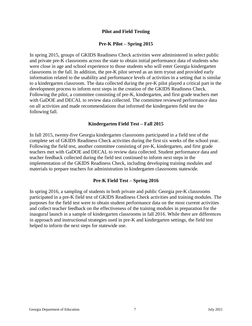#### **Pilot and Field Testing**

#### **Pre-K Pilot – Spring 2015**

<span id="page-6-1"></span><span id="page-6-0"></span>In spring 2015, groups of GKIDS Readiness Check activities were administered in select public and private pre-K classrooms across the state to obtain initial performance data of students who were close in age and school experience to those students who will enter Georgia kindergarten classrooms in the fall. In addition, the pre-K pilot served as an item tryout and provided early information related to the usability and performance levels of activities in a setting that is similar to a kindergarten classroom. The data collected during the pre-K pilot played a critical part in the development process to inform next steps in the creation of the GKIDS Readiness Check. Following the pilot, a committee consisting of pre-K, kindergarten, and first grade teachers met with GaDOE and DECAL to review data collected. The committee reviewed performance data on all activities and made recommendations that informed the kindergarten field test the following fall.

#### **Kindergarten Field Test – Fall 2015**

<span id="page-6-2"></span>In fall 2015, twenty-five Georgia kindergarten classrooms participated in a field test of the complete set of GKIDS Readiness Check activities during the first six weeks of the school year. Following the field test, another committee consisting of pre-K, kindergarten, and first grade teachers met with GaDOE and DECAL to review data collected. Student performance data and teacher feedback collected during the field test continued to inform next steps in the implementation of the GKIDS Readiness Check, including developing training modules and materials to prepare teachers for administration in kindergarten classrooms statewide.

#### **Pre-K Field Test – Spring 2016**

<span id="page-6-3"></span>In spring 2016, a sampling of students in both private and public Georgia pre-K classrooms participated in a pre-K field test of GKIDS Readiness Check activities and training modules. The purposes for the field test were to obtain student performance data on the most current activities and collect teacher feedback on the effectiveness of the training modules in preparation for the inaugural launch in a sample of kindergarten classrooms in fall 2016. While there are differences in approach and instructional strategies used in pre-K and kindergarten settings, the field test helped to inform the next steps for statewide use.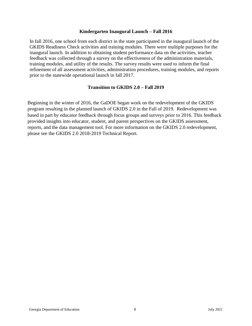#### **Kindergarten Inaugural Launch – Fall 2016**

<span id="page-7-0"></span>In fall 2016, one school from each district in the state participated in the inaugural launch of the GKIDS Readiness Check activities and training modules. There were multiple purposes for the inaugural launch. In addition to obtaining student performance data on the activities, teacher feedback was collected through a survey on the effectiveness of the administration materials, training modules, and utility of the results. The survey results were used to inform the final refinement of all assessment activities, administration procedures, training modules, and reports prior to the statewide operational launch in fall 2017.

#### **Transition to GKIDS 2.0 – Fall 2019**

<span id="page-7-1"></span>Beginning in the winter of 2016, the GaDOE began work on the redevelopment of the GKIDS program resulting in the planned launch of GKIDS 2.0 in the Fall of 2019. Redevelopment was based in part by educator feedback through focus groups and surveys prior to 2016. This feedback provided insights into educator, student, and parent perspectives on the GKIDS assessment, reports, and the data management tool. For more information on the GKIDS 2.0 redevelopment, please see the GKIDS 2.0 2018-2019 Technical Report.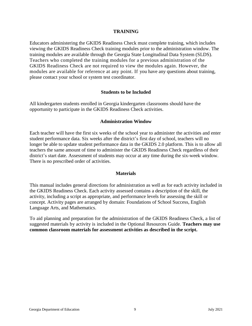#### **TRAINING**

<span id="page-8-0"></span>Educators administering the GKIDS Readiness Check must complete training, which includes viewing the GKIDS Readiness Check training modules prior to the administration window. The training modules are available through the Georgia State Longitudinal Data System (SLDS). Teachers who completed the training modules for a previous administration of the GKIDS Readiness Check are not required to view the modules again. However, the modules are available for reference at any point. If you have any questions about training, please contact your school or system test coordinator.

#### **Students to be Included**

<span id="page-8-1"></span>All kindergarten students enrolled in Georgia kindergarten classrooms should have the opportunity to participate in the GKIDS Readiness Check activities.

#### **Administration Window**

<span id="page-8-2"></span>Each teacher will have the first six weeks of the school year to administer the activities and enter student performance data. Six weeks after the district's first day of school, teachers will no longer be able to update student performance data in the GKIDS 2.0 platform. This is to allow all teachers the same amount of time to administer the GKIDS Readiness Check regardless of their district's start date. Assessment of students may occur at any time during the six-week window. There is no prescribed order of activities.

#### **Materials**

<span id="page-8-3"></span>This manual includes general directions for administration as well as for each activity included in the GKIDS Readiness Check. Each activity assessed contains a description of the skill, the activity, including a script as appropriate, and performance levels for assessing the skill or concept. Activity pages are arranged by domain: Foundations of School Success, English Language Arts, and Mathematics.

To aid planning and preparation for the administration of the GKIDS Readiness Check, a list of suggested materials by activity is included in the Optional Resources Guide. **Teachers may use common classroom materials for assessment activities as described in the script.**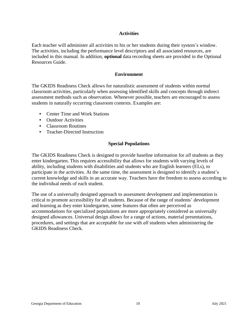#### **Activities**

<span id="page-9-0"></span>Each teacher will administer all activities to his or her students during their system's window. The activities, including the performance level descriptors and all associated resources, are included in this manual. In addition, **optional** data recording sheets are provided in the Optional Resources Guide.

#### **Environment**

<span id="page-9-1"></span>The GKIDS Readiness Check allows for naturalistic assessment of students within normal classroom activities, particularly when assessing identified skills and concepts through indirect assessment methods such as observation. Whenever possible, teachers are encouraged to assess students in naturally occurring classroom contexts. Examples are:

- Center Time and Work Stations
- Outdoor Activities
- Classroom Routines
- Teacher-Directed Instruction

#### **Special Populations**

<span id="page-9-2"></span>The GKIDS Readiness Check is designed to provide baseline information for *all* students as they enter kindergarten. This requires accessibility that allows for students with varying levels of ability, including students with disabilities and students who are English learners (ELs), to participate in the activities. At the same time, the assessment is designed to identify a student's current knowledge and skills in an accurate way. Teachers have the freedom to assess according to the individual needs of each student.

The use of a universally designed approach to assessment development and implementation is critical to promote accessibility for all students. Because of the range of students' development and learning as they enter kindergarten, some features that often are perceived as accommodations for specialized populations are more appropriately considered as universally designed allowances. Universal design allows for a range of actions, material presentations, procedures, and settings that are acceptable for use with *all* students when administering the GKIDS Readiness Check.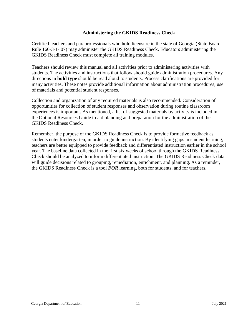#### **Administering the GKIDS Readiness Check**

<span id="page-10-0"></span>Certified teachers and paraprofessionals who hold licensure in the state of Georgia (State Board Rule 160-3-1-.07) may administer the GKIDS Readiness Check. Educators administering the GKIDS Readiness Check must complete all training modules.

Teachers should review this manual and all activities prior to administering activities with students. The activities and instructions that follow should guide administration procedures. Any directions in **bold type** should be read aloud to students. Process clarifications are provided for many activities. These notes provide additional information about administration procedures, use of materials and potential student responses.

Collection and organization of any required materials is also recommended. Consideration of opportunities for collection of student responses and observation during routine classroom experiences is important. As mentioned, a list of suggested materials by activity is included in the Optional Resources Guide to aid planning and preparation for the administration of the GKIDS Readiness Check.

Remember, the purpose of the GKIDS Readiness Check is to provide formative feedback as students enter kindergarten, in order to guide instruction. By identifying gaps in student learning, teachers are better equipped to provide feedback and differentiated instruction earlier in the school year. The baseline data collected in the first six weeks of school through the GKIDS Readiness Check should be analyzed to inform differentiated instruction. The GKIDS Readiness Check data will guide decisions related to grouping, remediation, enrichment, and planning. As a reminder, the GKIDS Readiness Check is a tool *FOR* learning, both for students, and for teachers.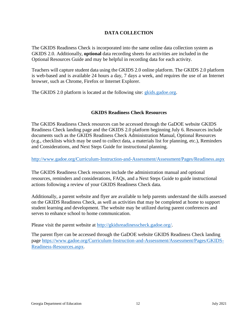#### **DATA COLLECTION**

<span id="page-11-0"></span>The GKIDS Readiness Check is incorporated into the same online data collection system as GKIDS 2.0. Additionally, **optional** data recording sheets for activities are included in the Optional Resources Guide and may be helpful in recording data for each activity.

Teachers will capture student data using the GKIDS 2.0 online platform. The GKIDS 2.0 platform is web-based and is available 24 hours a day, 7 days a week, and requires the use of an Internet browser, such as Chrome, Firefox or Internet Explorer.

The GKIDS 2.0 platform is located at the following site: [gkids.gadoe.org.](https://gkids.gadoe.org/)

#### **GKIDS Readiness Check Resources**

<span id="page-11-1"></span>The GKIDS Readiness Check resources can be accessed through the GaDOE website GKIDS Readiness Check landing page and the GKIDS 2.0 platform beginning July 6. Resources include documents such as the GKIDS Readiness Check Administration Manual, Optional Resources (e.g., checklists which may be used to collect data, a materials list for planning, etc.), Reminders and Considerations, and Next Steps Guide for instructional planning.

<http://www.gadoe.org/Curriculum-Instruction-and-Assessment/Assessment/Pages/Readiness.aspx>

The GKIDS Readiness Check resources include the administration manual and optional resources, reminders and considerations, FAQs, and a Next Steps Guide to guide instructional actions following a review of your GKIDS Readiness Check data.

Additionally, a parent website and flyer are available to help parents understand the skills assessed on the GKIDS Readiness Check, as well as activities that may be completed at home to support student learning and development. The website may be utilized during parent conferences and serves to enhance school to home communication.

Please visit the parent website at [http://gkidsreadinesscheck.gadoe.org/.](http://gkidsreadinesscheck.gadoe.org/)

The parent flyer can be accessed through the GaDOE website GKIDS Readiness Check landing page [https://www.gadoe.org/Curriculum-Instruction-and-Assessment/Assessment/Pages/GKIDS-](https://www.gadoe.org/Curriculum-Instruction-and-Assessment/Assessment/Pages/GKIDS-Readiness-Resources.aspx)[Readiness-Resources.aspx](https://www.gadoe.org/Curriculum-Instruction-and-Assessment/Assessment/Pages/GKIDS-Readiness-Resources.aspx).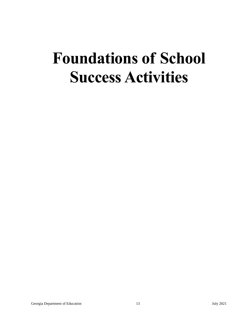# **Foundations of School Success Activities**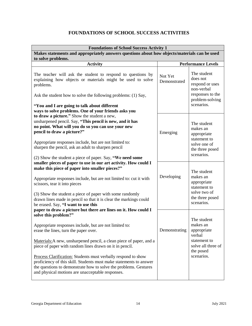## **FOUNDATIONS OF SCHOOL SUCCESS ACTIVITIES**

<span id="page-13-0"></span>

| <b>Foundations of School Success Activity 1</b>                                                                                                                                                                                                                                                                                                                                                                                                                                                                          |                           |                                                                                                                   |  |
|--------------------------------------------------------------------------------------------------------------------------------------------------------------------------------------------------------------------------------------------------------------------------------------------------------------------------------------------------------------------------------------------------------------------------------------------------------------------------------------------------------------------------|---------------------------|-------------------------------------------------------------------------------------------------------------------|--|
| Makes statements and appropriately answers questions about how objects/materials can be used<br>to solve problems.                                                                                                                                                                                                                                                                                                                                                                                                       |                           |                                                                                                                   |  |
| <b>Activity</b>                                                                                                                                                                                                                                                                                                                                                                                                                                                                                                          | <b>Performance Levels</b> |                                                                                                                   |  |
| The teacher will ask the student to respond to questions by<br>explaining how objects or materials might be used to solve<br>problems.<br>Ask the student how to solve the following problems: (1) Say,<br>"You and I are going to talk about different<br>ways to solve problems. One of your friends asks you                                                                                                                                                                                                          | Not Yet<br>Demonstrated   | The student<br>does not<br>respond or uses<br>non-verbal<br>responses to the<br>problem-solving<br>scenarios.     |  |
| to draw a picture." Show the student a new,<br>unsharpened pencil. Say, "This pencil is new, and it has<br>no point. What will you do so you can use your new<br>pencil to draw a picture?"<br>Appropriate responses include, but are not limited to:<br>sharpen the pencil, ask an adult to sharpen pencil<br>(2) Show the student a piece of paper. Say, "We need some                                                                                                                                                 | Emerging                  | The student<br>makes an<br>appropriate<br>statement to<br>solve one of<br>the three posed<br>scenarios.           |  |
| smaller pieces of paper to use in our art activity. How could I<br>make this piece of paper into smaller pieces?"<br>Appropriate responses include, but are not limited to: cut it with<br>scissors, tear it into pieces<br>(3) Show the student a piece of paper with some randomly<br>drawn lines made in pencil so that it is clear the markings could<br>be erased. Say, "I want to use this<br>paper to draw a picture but there are lines on it. How could I                                                       | Developing                | The student<br>makes an<br>appropriate<br>statement to<br>solve two of<br>the three posed<br>scenarios.           |  |
| solve this problem?"<br>Appropriate responses include, but are not limited to:<br>erase the lines, turn the paper over.<br>Materials: A new, unsharpened pencil, a clean piece of paper, and a<br>piece of paper with random lines drawn on it in pencil.<br>Process Clarification: Students must verbally respond to show<br>proficiency of this skill. Students must make statements to answer<br>the questions to demonstrate how to solve the problems. Gestures<br>and physical motions are unacceptable responses. | Demonstrating             | The student<br>makes an<br>appropriate<br>verbal<br>statement to<br>solve all three of<br>the posed<br>scenarios. |  |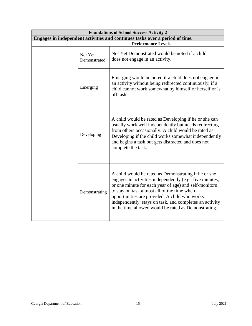| <b>Foundations of School Success Activity 2</b>                              |                           |                                                                                                                                                                                                                                                                                                                                                                                              |  |
|------------------------------------------------------------------------------|---------------------------|----------------------------------------------------------------------------------------------------------------------------------------------------------------------------------------------------------------------------------------------------------------------------------------------------------------------------------------------------------------------------------------------|--|
| Engages in independent activities and continues tasks over a period of time. |                           |                                                                                                                                                                                                                                                                                                                                                                                              |  |
|                                                                              | <b>Performance Levels</b> |                                                                                                                                                                                                                                                                                                                                                                                              |  |
|                                                                              | Not Yet<br>Demonstrated   | Not Yet Demonstrated would be noted if a child<br>does not engage in an activity.                                                                                                                                                                                                                                                                                                            |  |
|                                                                              | Emerging                  | Emerging would be noted if a child does not engage in<br>an activity without being redirected continuously, if a<br>child cannot work somewhat by himself or herself or is<br>off task.                                                                                                                                                                                                      |  |
|                                                                              | Developing                | A child would be rated as Developing if he or she can<br>usually work well independently but needs redirecting<br>from others occasionally. A child would be rated as<br>Developing if the child works somewhat independently<br>and begins a task but gets distracted and does not<br>complete the task.                                                                                    |  |
|                                                                              | Demonstrating             | A child would be rated as Demonstrating if he or she<br>engages in activities independently (e.g., five minutes,<br>or one minute for each year of age) and self-monitors<br>to stay on task almost all of the time when<br>opportunities are provided. A child who works<br>independently, stays on task, and completes an activity<br>in the time allowed would be rated as Demonstrating. |  |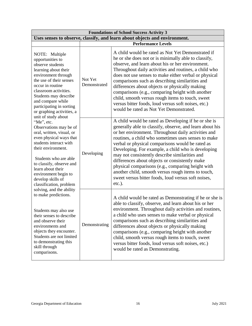| <b>Foundations of School Success Activity 3</b>                                                                                                                                                                                                                                                                                                                                                                                                                                                                                                                                                                                                                                                                                                                                                                                                                                  |                         |                                                                                                                                                                                                                                                                                                                                                                                                                                                                                                                                                                                                                             |  |
|----------------------------------------------------------------------------------------------------------------------------------------------------------------------------------------------------------------------------------------------------------------------------------------------------------------------------------------------------------------------------------------------------------------------------------------------------------------------------------------------------------------------------------------------------------------------------------------------------------------------------------------------------------------------------------------------------------------------------------------------------------------------------------------------------------------------------------------------------------------------------------|-------------------------|-----------------------------------------------------------------------------------------------------------------------------------------------------------------------------------------------------------------------------------------------------------------------------------------------------------------------------------------------------------------------------------------------------------------------------------------------------------------------------------------------------------------------------------------------------------------------------------------------------------------------------|--|
| Uses senses to observe, classify, and learn about objects and environment.                                                                                                                                                                                                                                                                                                                                                                                                                                                                                                                                                                                                                                                                                                                                                                                                       |                         |                                                                                                                                                                                                                                                                                                                                                                                                                                                                                                                                                                                                                             |  |
|                                                                                                                                                                                                                                                                                                                                                                                                                                                                                                                                                                                                                                                                                                                                                                                                                                                                                  |                         | <b>Performance Levels</b>                                                                                                                                                                                                                                                                                                                                                                                                                                                                                                                                                                                                   |  |
| NOTE: Multiple<br>opportunities to<br>observe students<br>learning about their<br>environment through<br>the use of their senses<br>occur in routine<br>classroom activities.<br>Students may describe<br>and compare while<br>participating in sorting<br>or graphing activities, a<br>unit of study about<br>"Me", etc.<br>Observations may be of<br>oral, written, visual, or<br>even physical ways that<br>students interact with<br>their environment.<br>Students who are able<br>to classify, observe and<br>learn about their<br>environment begin to<br>develop skills of<br>classification, problem<br>solving, and the ability<br>to make predictions.<br>Students may also use<br>their senses to describe<br>and observe their<br>environments and<br>objects they encounter.<br>Students are not limited<br>to demonstrating this<br>skill through<br>comparisons. | Not Yet<br>Demonstrated | A child would be rated as Not Yet Demonstrated if<br>he or she does not or is minimally able to classify,<br>observe, and learn about his or her environment.<br>Throughout daily activities and routines, a child who<br>does not use senses to make either verbal or physical<br>comparisons such as describing similarities and<br>differences about objects or physically making<br>comparisons (e.g., comparing height with another<br>child, smooth versus rough items to touch, sweet<br>versus bitter foods, loud versus soft noises, etc.)<br>would be rated as Not Yet Demonstrated.                              |  |
|                                                                                                                                                                                                                                                                                                                                                                                                                                                                                                                                                                                                                                                                                                                                                                                                                                                                                  | Developing              | A child would be rated as Developing if he or she is<br>generally able to classify, observe, and learn about his<br>or her environment. Throughout daily activities and<br>routines, a child who sometimes uses senses to make<br>verbal or physical comparisons would be rated as<br>Developing. For example, a child who is developing<br>may not consistently describe similarities and<br>differences about objects or consistently make<br>physical comparisons (e.g., comparing height with<br>another child, smooth versus rough items to touch,<br>sweet versus bitter foods, loud versus soft noises,<br>$etc.$ ). |  |
|                                                                                                                                                                                                                                                                                                                                                                                                                                                                                                                                                                                                                                                                                                                                                                                                                                                                                  | Demonstrating           | A child would be rated as Demonstrating if he or she is<br>able to classify, observe, and learn about his or her<br>environment. Throughout daily activities and routines,<br>a child who uses senses to make verbal or physical<br>comparisons such as describing similarities and<br>differences about objects or physically making<br>comparisons (e.g., comparing height with another<br>child, smooth versus rough items to touch, sweet<br>versus bitter foods, loud versus soft noises, etc.)<br>would be rated as Demonstrating.                                                                                    |  |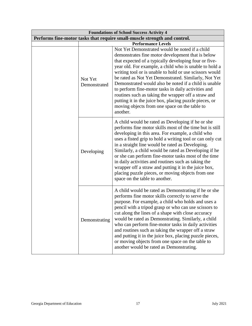| <b>Foundations of School Success Activity 4</b> |                                                                           |                                                                                                                                                                                                                                                                                                                                                                                                                                                                                                                                                                                                                                         |  |
|-------------------------------------------------|---------------------------------------------------------------------------|-----------------------------------------------------------------------------------------------------------------------------------------------------------------------------------------------------------------------------------------------------------------------------------------------------------------------------------------------------------------------------------------------------------------------------------------------------------------------------------------------------------------------------------------------------------------------------------------------------------------------------------------|--|
|                                                 | Performs fine-motor tasks that require small-muscle strength and control. |                                                                                                                                                                                                                                                                                                                                                                                                                                                                                                                                                                                                                                         |  |
|                                                 | <b>Performance Levels</b>                                                 |                                                                                                                                                                                                                                                                                                                                                                                                                                                                                                                                                                                                                                         |  |
|                                                 | Not Yet<br>Demonstrated                                                   | Not Yet Demonstrated would be noted if a child<br>demonstrates fine motor development that is below<br>that expected of a typically developing four or five-<br>year old. For example, a child who is unable to hold a<br>writing tool or is unable to hold or use scissors would<br>be rated as Not Yet Demonstrated. Similarly, Not Yet<br>Demonstrated would also be noted if a child is unable<br>to perform fine-motor tasks in daily activities and<br>routines such as taking the wrapper off a straw and<br>putting it in the juice box, placing puzzle pieces, or<br>moving objects from one space on the table to<br>another. |  |
|                                                 | Developing                                                                | A child would be rated as Developing if he or she<br>performs fine motor skills most of the time but is still<br>developing in this area. For example, a child who<br>uses a fisted grip to hold a writing tool or can only cut<br>in a straight line would be rated as Developing.<br>Similarly, a child would be rated as Developing if he<br>or she can perform fine-motor tasks most of the time<br>in daily activities and routines such as taking the<br>wrapper off a straw and putting it in the juice box,<br>placing puzzle pieces, or moving objects from one<br>space on the table to another.                              |  |
|                                                 | Demonstrating                                                             | A child would be rated as Demonstrating if he or she<br>performs fine motor skills correctly to serve the<br>purpose. For example, a child who holds and uses a<br>pencil with a tripod grasp or who can use scissors to<br>cut along the lines of a shape with close accuracy<br>would be rated as Demonstrating. Similarly, a child<br>who can perform fine-motor tasks in daily activities<br>and routines such as taking the wrapper off a straw<br>and putting it in the juice box, placing puzzle pieces,<br>or moving objects from one space on the table to<br>another would be rated as Demonstrating.                         |  |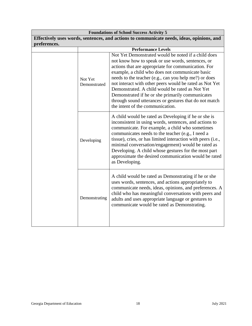| <b>Foundations of School Success Activity 5</b> |                         |                                                                                                                                                                                                                                                                                                                                                                                                                                                                                                                                             |  |
|-------------------------------------------------|-------------------------|---------------------------------------------------------------------------------------------------------------------------------------------------------------------------------------------------------------------------------------------------------------------------------------------------------------------------------------------------------------------------------------------------------------------------------------------------------------------------------------------------------------------------------------------|--|
|                                                 |                         | Effectively uses words, sentences, and actions to communicate needs, ideas, opinions, and                                                                                                                                                                                                                                                                                                                                                                                                                                                   |  |
| preferences.                                    |                         |                                                                                                                                                                                                                                                                                                                                                                                                                                                                                                                                             |  |
|                                                 |                         | <b>Performance Levels</b>                                                                                                                                                                                                                                                                                                                                                                                                                                                                                                                   |  |
|                                                 | Not Yet<br>Demonstrated | Not Yet Demonstrated would be noted if a child does<br>not know how to speak or use words, sentences, or<br>actions that are appropriate for communication. For<br>example, a child who does not communicate basic<br>needs to the teacher (e.g., can you help me?) or does<br>not interact with other peers would be rated as Not Yet<br>Demonstrated. A child would be rated as Not Yet<br>Demonstrated if he or she primarily communicates<br>through sound utterances or gestures that do not match<br>the intent of the communication. |  |
|                                                 | Developing              | A child would be rated as Developing if he or she is<br>inconsistent in using words, sentences, and actions to<br>communicate. For example, a child who sometimes<br>communicates needs to the teacher (e.g., I need a<br>tissue), cries, or has limited interaction with peers (i.e.,<br>minimal conversation/engagement) would be rated as<br>Developing. A child whose gestures for the most part<br>approximate the desired communication would be rated<br>as Developing.                                                              |  |
|                                                 | Demonstrating           | A child would be rated as Demonstrating if he or she<br>uses words, sentences, and actions appropriately to<br>communicate needs, ideas, opinions, and preferences. A<br>child who has meaningful conversations with peers and<br>adults and uses appropriate language or gestures to<br>communicate would be rated as Demonstrating.                                                                                                                                                                                                       |  |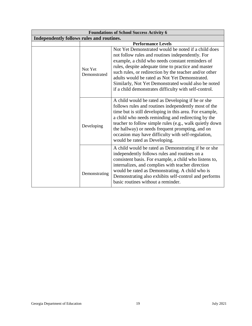| <b>Foundations of School Success Activity 6</b> |                         |                                                                                                                                                                                                                                                                                                                                                                                                                                                |
|-------------------------------------------------|-------------------------|------------------------------------------------------------------------------------------------------------------------------------------------------------------------------------------------------------------------------------------------------------------------------------------------------------------------------------------------------------------------------------------------------------------------------------------------|
| Independently follows rules and routines.       |                         |                                                                                                                                                                                                                                                                                                                                                                                                                                                |
|                                                 |                         | <b>Performance Levels</b>                                                                                                                                                                                                                                                                                                                                                                                                                      |
|                                                 | Not Yet<br>Demonstrated | Not Yet Demonstrated would be noted if a child does<br>not follow rules and routines independently. For<br>example, a child who needs constant reminders of<br>rules, despite adequate time to practice and master<br>such rules, or redirection by the teacher and/or other<br>adults would be rated as Not Yet Demonstrated.<br>Similarly, Not Yet Demonstrated would also be noted<br>if a child demonstrates difficulty with self-control. |
|                                                 | Developing              | A child would be rated as Developing if he or she<br>follows rules and routines independently most of the<br>time but is still developing in this area. For example,<br>a child who needs reminding and redirecting by the<br>teacher to follow simple rules (e.g., walk quietly down<br>the hallway) or needs frequent prompting, and on<br>occasion may have difficulty with self-regulation,<br>would be rated as Developing.               |
|                                                 | Demonstrating           | A child would be rated as Demonstrating if he or she<br>independently follows rules and routines on a<br>consistent basis. For example, a child who listens to,<br>internalizes, and complies with teacher direction<br>would be rated as Demonstrating. A child who is<br>Demonstrating also exhibits self-control and performs<br>basic routines without a reminder.                                                                         |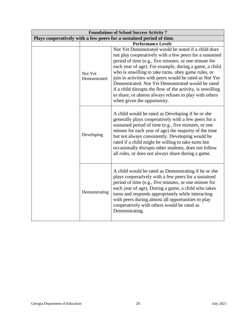| <b>Foundations of School Success Activity 7</b>                      |                         |                                                                                                                                                                                                                                                                                                                                                                                                                                                                                                                                                                 |
|----------------------------------------------------------------------|-------------------------|-----------------------------------------------------------------------------------------------------------------------------------------------------------------------------------------------------------------------------------------------------------------------------------------------------------------------------------------------------------------------------------------------------------------------------------------------------------------------------------------------------------------------------------------------------------------|
| Plays cooperatively with a few peers for a sustained period of time. |                         |                                                                                                                                                                                                                                                                                                                                                                                                                                                                                                                                                                 |
|                                                                      |                         | <b>Performance Levels</b>                                                                                                                                                                                                                                                                                                                                                                                                                                                                                                                                       |
|                                                                      | Not Yet<br>Demonstrated | Not Yet Demonstrated would be noted if a child does<br>not play cooperatively with a few peers for a sustained<br>period of time (e.g., five minutes, or one minute for<br>each year of age). For example, during a game, a child<br>who is unwilling to take turns, obey game rules, or<br>join in activities with peers would be rated as Not Yet<br>Demonstrated. Not Yet Demonstrated would be rated<br>if a child disrupts the flow of the activity, is unwilling<br>to share, or almost always refuses to play with others<br>when given the opportunity. |
|                                                                      | Developing              | A child would be rated as Developing if he or she<br>generally plays cooperatively with a few peers for a<br>sustained period of time (e.g., five minutes, or one<br>minute for each year of age) the majority of the time<br>but not always consistently. Developing would be<br>rated if a child might be willing to take turns but<br>occasionally disrupts other students, does not follow<br>all rules, or does not always share during a game.                                                                                                            |
|                                                                      | Demonstrating           | A child would be rated as Demonstrating if he or she<br>plays cooperatively with a few peers for a sustained<br>period of time (e.g., five minutes, or one minute for<br>each year of age). During a game, a child who takes<br>turns and responds appropriately while interacting<br>with peers during almost all opportunities to play<br>cooperatively with others would be rated as<br>Demonstrating.                                                                                                                                                       |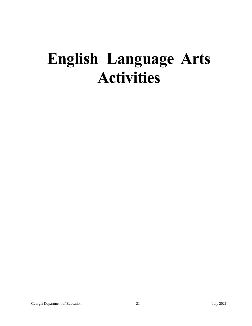## **English Language Arts Activities**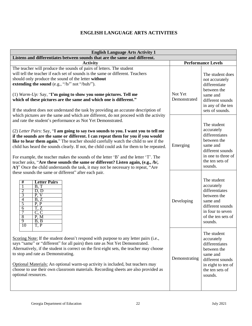### **ENGLISH LANGUAGE ARTS ACTIVITIES**

<span id="page-21-0"></span>

| <b>English Language Arts Activity 1</b>                                                                                                                                                                                                                                                                                                                                                                                                                                                                                                                                                                                                                                                                                                                                           |                         |                                                                                                                                                 |  |
|-----------------------------------------------------------------------------------------------------------------------------------------------------------------------------------------------------------------------------------------------------------------------------------------------------------------------------------------------------------------------------------------------------------------------------------------------------------------------------------------------------------------------------------------------------------------------------------------------------------------------------------------------------------------------------------------------------------------------------------------------------------------------------------|-------------------------|-------------------------------------------------------------------------------------------------------------------------------------------------|--|
| Listens and differentiates between sounds that are the same and different.                                                                                                                                                                                                                                                                                                                                                                                                                                                                                                                                                                                                                                                                                                        |                         |                                                                                                                                                 |  |
| <b>Activity</b>                                                                                                                                                                                                                                                                                                                                                                                                                                                                                                                                                                                                                                                                                                                                                                   |                         | <b>Performance Levels</b>                                                                                                                       |  |
| The teacher will produce the sounds of pairs of letters. The student<br>will tell the teacher if each set of sounds is the same or different. Teachers<br>should only produce the sound of the letter without<br>extending the sound (e.g., "/b/" not "/buh/").                                                                                                                                                                                                                                                                                                                                                                                                                                                                                                                   |                         | The student does<br>not accurately<br>differentiate<br>between the                                                                              |  |
| (1) Warm-Up: Say, "I'm going to show you some pictures. Tell me<br>which of these pictures are the same and which one is different."<br>If the student does not understand the task by providing an accurate description of                                                                                                                                                                                                                                                                                                                                                                                                                                                                                                                                                       | Not Yet<br>Demonstrated | same and<br>different sounds<br>in any of the ten<br>sets of sounds.                                                                            |  |
| which pictures are the same and which are different, do not proceed with the activity<br>and rate the student's performance as Not Yet Demonstrated.<br>(2) Letter Pairs: Say, "I am going to say two sounds to you. I want you to tell me<br>if the sounds are the same or different. I can repeat them for you if you would<br>like to hear them again." The teacher should carefully watch the child to see if the<br>child has heard the sounds clearly. If not, the child could ask for them to be repeated.<br>For example, the teacher makes the sounds of the letter 'B' and the letter 'T'. The<br>teacher asks, "Are these sounds the same or different? Listen again, (e.g., /b/,<br>(t)" Once the child understands the task, it may not be necessary to repeat, "Are | Emerging                | The student<br>accurately<br>differentiates<br>between the<br>same and<br>different sounds<br>in one to three of<br>the ten sets of<br>sounds.  |  |
| these sounds the same or different" after each pair.<br><b>Letter Pairs</b><br>#<br>B, T<br>$rac{2}{3}$<br>D, D<br>P, V<br>4<br>B, Z<br>5<br>$\overline{P, P}$<br>$\overline{6}$<br>T, Z<br>7<br>C, C<br>8<br>P, M<br>9<br>B, B<br>T, P<br>10                                                                                                                                                                                                                                                                                                                                                                                                                                                                                                                                     | Developing              | The student<br>accurately<br>differentiates<br>between the<br>same and<br>different sounds<br>in four to seven<br>of the ten sets of<br>sounds. |  |
| Scoring Note: If the student doesn't respond with purpose to any letter pairs (i.e.,<br>says "same" or "different" for all pairs) then rate as Not Yet Demonstrated.<br>Alternatively, if the student is correct on the first eight sets, the teacher may choose<br>to stop and rate as Demonstrating.<br>Optional Materials: An optional warm-up activity is included, but teachers may<br>choose to use their own classroom materials. Recording sheets are also provided as<br>optional resources.                                                                                                                                                                                                                                                                             | Demonstrating           | The student<br>accurately<br>differentiates<br>between the<br>same and<br>different sounds<br>in eight to ten of<br>the ten sets of<br>sounds.  |  |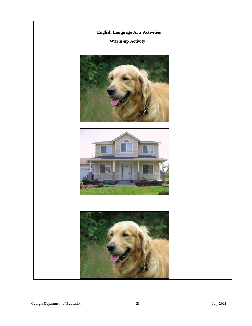### **English Language Arts Activities**

### **Warm-up Activity**





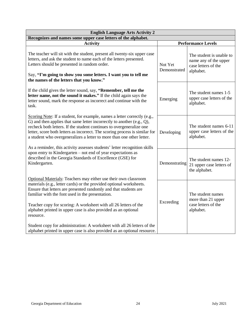| <b>English Language Arts Activity 2</b>                                                                                                                                                                                                                                                                                                                                                                                                                            |                           |                                                                                       |  |
|--------------------------------------------------------------------------------------------------------------------------------------------------------------------------------------------------------------------------------------------------------------------------------------------------------------------------------------------------------------------------------------------------------------------------------------------------------------------|---------------------------|---------------------------------------------------------------------------------------|--|
| Recognizes and names some upper case letters of the alphabet.                                                                                                                                                                                                                                                                                                                                                                                                      |                           |                                                                                       |  |
| <b>Activity</b>                                                                                                                                                                                                                                                                                                                                                                                                                                                    | <b>Performance Levels</b> |                                                                                       |  |
| The teacher will sit with the student, present all twenty-six upper case<br>letters, and ask the student to name each of the letters presented.<br>Letters should be presented in random order.<br>Say, "I'm going to show you some letters. I want you to tell me<br>the names of the letters that you know."                                                                                                                                                     | Not Yet<br>Demonstrated   | The student is unable to<br>name any of the upper<br>case letters of the<br>alphabet. |  |
| If the child gives the letter sound, say, "Remember, tell me the<br>letter name, not the sound it makes." If the child again says the<br>letter sound, mark the response as incorrect and continue with the<br>task.                                                                                                                                                                                                                                               | Emerging                  | The student names 1-5<br>upper case letters of the<br>alphabet.                       |  |
| Scoring Note: If a student, for example, names a letter correctly (e.g.,<br>G) and then applies that same letter incorrectly to another $(e.g., Q)$ ,<br>recheck both letters. If the student continues to overgeneralize one<br>letter, score both letters as incorrect. The scoring process is similar for<br>a student who overgeneralizes a letter to more than one other letter.<br>As a reminder, this activity assesses students' letter recognition skills | Developing                | The student names 6-11<br>upper case letters of the<br>alphabet.                      |  |
| upon entry to Kindergarten – not end of year expectations as<br>described in the Georgia Standards of Excellence (GSE) for<br>Kindergarten.<br>Optional Materials: Teachers may either use their own classroom                                                                                                                                                                                                                                                     | Demonstrating             | The student names 12-<br>21 upper case letters of<br>the alphabet.                    |  |
| materials (e.g., letter cards) or the provided optional worksheets.<br>Ensure that letters are presented randomly and that students are<br>familiar with the font used in the presentation.<br>Teacher copy for scoring: A worksheet with all 26 letters of the<br>alphabet printed in upper case is also provided as an optional<br>resource.                                                                                                                     | Exceeding                 | The student names<br>more than 21 upper<br>case letters of the<br>alphabet.           |  |
| Student copy for administration: A worksheet with all 26 letters of the<br>alphabet printed in upper case is also provided as an optional resource.                                                                                                                                                                                                                                                                                                                |                           |                                                                                       |  |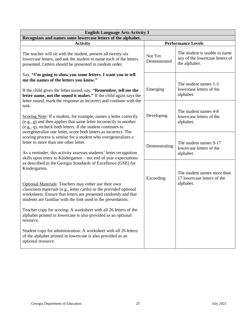| <b>English Language Arts Activity 3</b>                                                                                                                                                                                                                                                                                                                                                                                                                                                                                                                                                                        |                         |                                                                                   |  |
|----------------------------------------------------------------------------------------------------------------------------------------------------------------------------------------------------------------------------------------------------------------------------------------------------------------------------------------------------------------------------------------------------------------------------------------------------------------------------------------------------------------------------------------------------------------------------------------------------------------|-------------------------|-----------------------------------------------------------------------------------|--|
| Recognizes and names some lowercase letters of the alphabet.                                                                                                                                                                                                                                                                                                                                                                                                                                                                                                                                                   |                         |                                                                                   |  |
| <b>Activity</b>                                                                                                                                                                                                                                                                                                                                                                                                                                                                                                                                                                                                |                         | <b>Performance Levels</b>                                                         |  |
| The teacher will sit with the student, present all twenty-six<br>lowercase letters, and ask the student to name each of the letters<br>presented. Letters should be presented in random order.                                                                                                                                                                                                                                                                                                                                                                                                                 | Not Yet<br>Demonstrated | The student is unable to name<br>any of the lowercase letters of<br>the alphabet. |  |
| Say, "I'm going to show you some letters. I want you to tell<br>me the names of the letters you know."<br>If the child gives the letter sound, say, "Remember, tell me the<br>letter name, not the sound it makes." If the child again says the                                                                                                                                                                                                                                                                                                                                                                | Emerging                | The student names 1-3<br>lowercase letters of the<br>alphabet.                    |  |
| letter sound, mark the response as incorrect and continue with the<br>task.<br>Scoring Note: If a student, for example, names a letter correctly<br>(e.g., g) and then applies that same letter incorrectly to another<br>(e.g., q), recheck both letters. If the student continues to<br>overgeneralize one letter, score both letters as incorrect. The<br>scoring process is similar for a student who overgeneralizes a<br>letter to more than one other letter.<br>As a reminder, this activity assesses students' letter recognition<br>skills upon entry to Kindergarten – not end of year expectations | Developing              | The student names 4-8<br>lowercase letters of the<br>alphabet.                    |  |
|                                                                                                                                                                                                                                                                                                                                                                                                                                                                                                                                                                                                                | Demonstrating           | The student names 9-17<br>lowercase letters of the<br>alphabet.                   |  |
| as described in the Georgia Standards of Excellence (GSE) for<br>Kindergarten.                                                                                                                                                                                                                                                                                                                                                                                                                                                                                                                                 | Exceeding               | The student names more than<br>17 lowercase letters of the                        |  |
| Optional Materials: Teachers may either use their own<br>classroom materials (e.g., letter cards) or the provided optional<br>worksheets. Ensure that letters are presented randomly and that<br>students are familiar with the font used in the presentation.                                                                                                                                                                                                                                                                                                                                                 |                         | alphabet.                                                                         |  |
| Teacher copy for scoring: A worksheet with all 26 letters of the<br>alphabet printed in lowercase is also provided as an optional<br>resource.                                                                                                                                                                                                                                                                                                                                                                                                                                                                 |                         |                                                                                   |  |
| Student copy for administration: A worksheet with all 26 letters<br>of the alphabet printed in lowercase is also provided as an<br>optional resource.                                                                                                                                                                                                                                                                                                                                                                                                                                                          |                         |                                                                                   |  |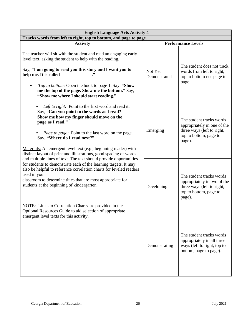| <b>English Language Arts Activity 4</b>                                                                                                                                                                                                                                                                                                                                                                                                                              |                           |                                                                                                                           |  |
|----------------------------------------------------------------------------------------------------------------------------------------------------------------------------------------------------------------------------------------------------------------------------------------------------------------------------------------------------------------------------------------------------------------------------------------------------------------------|---------------------------|---------------------------------------------------------------------------------------------------------------------------|--|
| Tracks words from left to right, top to bottom, and page to page.                                                                                                                                                                                                                                                                                                                                                                                                    |                           |                                                                                                                           |  |
| <b>Activity</b>                                                                                                                                                                                                                                                                                                                                                                                                                                                      | <b>Performance Levels</b> |                                                                                                                           |  |
| The teacher will sit with the student and read an engaging early<br>level text, asking the student to help with the reading.<br>Say, "I am going to read you this story and I want you to<br>help me. It is called<br>Top to bottom: Open the book to page 1. Say, "Show<br>$\bullet$<br>me the top of the page. Show me the bottom." Say,<br>"Show me where I should start reading."                                                                                | Not Yet<br>Demonstrated   | The student does not track<br>words from left to right,<br>top to bottom nor page to<br>page.                             |  |
| Left to right: Point to the first word and read it.<br>Say, "Can you point to the words as I read?<br>Show me how my finger should move on the<br>page as I read."<br>Page to page: Point to the last word on the page.<br>Say, "Where do I read next?"<br>Materials: An emergent level text (e.g., beginning reader) with<br>distinct layout of print and illustrations, good spacing of words<br>and multiple lines of text. The text should provide opportunities | Emerging                  | The student tracks words<br>appropriately in one of the<br>three ways (left to right,<br>top to bottom, page to<br>page). |  |
| for students to demonstrate each of the learning targets. It may<br>also be helpful to reference correlation charts for leveled readers<br>used in your<br>classroom to determine titles that are most appropriate for<br>students at the beginning of kindergarten.<br>NOTE: Links to Correlation Charts are provided in the<br>Optional Resources Guide to aid selection of appropriate                                                                            | Developing                | The student tracks words<br>appropriately in two of the<br>three ways (left to right,<br>top to bottom, page to<br>page). |  |
| emergent level texts for this activity.                                                                                                                                                                                                                                                                                                                                                                                                                              | Demonstrating             | The student tracks words<br>appropriately in all three<br>ways (left to right, top to<br>bottom, page to page).           |  |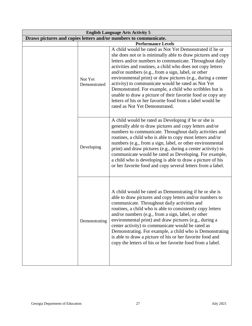| <b>English Language Arts Activity 5</b>                          |                                                                                                                                                                                                                                                                                                                                                                                                                                                                                                                                                                                                                                                      |  |  |
|------------------------------------------------------------------|------------------------------------------------------------------------------------------------------------------------------------------------------------------------------------------------------------------------------------------------------------------------------------------------------------------------------------------------------------------------------------------------------------------------------------------------------------------------------------------------------------------------------------------------------------------------------------------------------------------------------------------------------|--|--|
| Draws pictures and copies letters and/or numbers to communicate. |                                                                                                                                                                                                                                                                                                                                                                                                                                                                                                                                                                                                                                                      |  |  |
|                                                                  | <b>Performance Levels</b>                                                                                                                                                                                                                                                                                                                                                                                                                                                                                                                                                                                                                            |  |  |
| Not Yet<br>Demonstrated                                          | A child would be rated as Not Yet Demonstrated if he or<br>she does not or is minimally able to draw pictures and copy<br>letters and/or numbers to communicate. Throughout daily<br>activities and routines, a child who does not copy letters<br>and/or numbers (e.g., from a sign, label, or other<br>environmental print) or draw pictures (e.g., during a center<br>activity) to communicate would be rated as Not Yet<br>Demonstrated. For example, a child who scribbles but is<br>unable to draw a picture of their favorite food or copy any<br>letters of his or her favorite food from a label would be<br>rated as Not Yet Demonstrated. |  |  |
| Developing                                                       | A child would be rated as Developing if he or she is<br>generally able to draw pictures and copy letters and/or<br>numbers to communicate. Throughout daily activities and<br>routines, a child who is able to copy most letters and/or<br>numbers (e.g., from a sign, label, or other environmental<br>print) and draw pictures (e.g., during a center activity) to<br>communicate would be rated as Developing. For example,<br>a child who is developing is able to draw a picture of his<br>or her favorite food and copy several letters from a label.                                                                                          |  |  |
| Demonstrating                                                    | A child would be rated as Demonstrating if he or she is<br>able to draw pictures and copy letters and/or numbers to<br>communicate. Throughout daily activities and<br>routines, a child who is able to consistently copy letters<br>and/or numbers (e.g., from a sign, label, or other<br>environmental print) and draw pictures (e.g., during a<br>center activity) to communicate would be rated as<br>Demonstrating. For example, a child who is Demonstrating<br>is able to draw a picture of his or her favorite food and<br>copy the letters of his or her favorite food from a label.                                                        |  |  |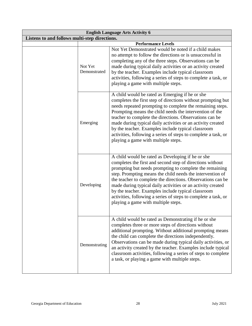| <b>English Language Arts Activity 6</b>       |                           |                                                                                                                                                                                                                                                                                                                                                                                                                                                                                                                                     |  |
|-----------------------------------------------|---------------------------|-------------------------------------------------------------------------------------------------------------------------------------------------------------------------------------------------------------------------------------------------------------------------------------------------------------------------------------------------------------------------------------------------------------------------------------------------------------------------------------------------------------------------------------|--|
| Listens to and follows multi-step directions. |                           |                                                                                                                                                                                                                                                                                                                                                                                                                                                                                                                                     |  |
|                                               | <b>Performance Levels</b> |                                                                                                                                                                                                                                                                                                                                                                                                                                                                                                                                     |  |
|                                               | Not Yet<br>Demonstrated   | Not Yet Demonstrated would be noted if a child makes<br>no attempt to follow the directions or is unsuccessful in<br>completing any of the three steps. Observations can be<br>made during typical daily activities or an activity created<br>by the teacher. Examples include typical classroom<br>activities, following a series of steps to complete a task, or<br>playing a game with multiple steps.                                                                                                                           |  |
|                                               | Emerging                  | A child would be rated as Emerging if he or she<br>completes the first step of directions without prompting but<br>needs repeated prompting to complete the remaining steps.<br>Prompting means the child needs the intervention of the<br>teacher to complete the directions. Observations can be<br>made during typical daily activities or an activity created<br>by the teacher. Examples include typical classroom<br>activities, following a series of steps to complete a task, or<br>playing a game with multiple steps.    |  |
|                                               | Developing                | A child would be rated as Developing if he or she<br>completes the first and second step of directions without<br>prompting but needs prompting to complete the remaining<br>step. Prompting means the child needs the intervention of<br>the teacher to complete the directions. Observations can be<br>made during typical daily activities or an activity created<br>by the teacher. Examples include typical classroom<br>activities, following a series of steps to complete a task, or<br>playing a game with multiple steps. |  |
|                                               | Demonstrating             | A child would be rated as Demonstrating if he or she<br>completes three or more steps of directions without<br>additional prompting. Without additional prompting means<br>the child can complete the directions independently.<br>Observations can be made during typical daily activities, or<br>an activity created by the teacher. Examples include typical<br>classroom activities, following a series of steps to complete<br>a task, or playing a game with multiple steps.                                                  |  |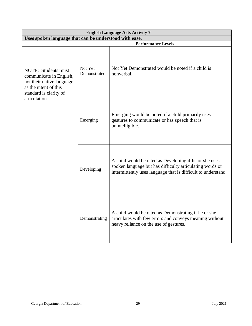| <b>English Language Arts Activity 7</b>                                                                                        |                         |                                                                                                                                                                                     |  |
|--------------------------------------------------------------------------------------------------------------------------------|-------------------------|-------------------------------------------------------------------------------------------------------------------------------------------------------------------------------------|--|
| Uses spoken language that can be understood with ease.                                                                         |                         |                                                                                                                                                                                     |  |
|                                                                                                                                |                         | <b>Performance Levels</b>                                                                                                                                                           |  |
| NOTE: Students must<br>communicate in English,<br>not their native language<br>as the intent of this<br>standard is clarity of | Not Yet<br>Demonstrated | Not Yet Demonstrated would be noted if a child is<br>nonverbal.                                                                                                                     |  |
| articulation.                                                                                                                  | Emerging                | Emerging would be noted if a child primarily uses<br>gestures to communicate or has speech that is<br>unintelligible.                                                               |  |
|                                                                                                                                | Developing              | A child would be rated as Developing if he or she uses<br>spoken language but has difficulty articulating words or<br>intermittently uses language that is difficult to understand. |  |
|                                                                                                                                | Demonstrating           | A child would be rated as Demonstrating if he or she<br>articulates with few errors and conveys meaning without<br>heavy reliance on the use of gestures.                           |  |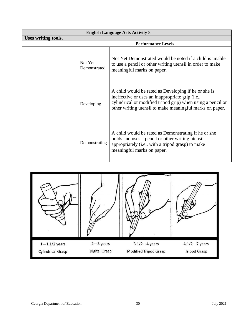| <b>English Language Arts Activity 8</b> |                                                                                                                                                                                                                                                   |                                                                                                                                                                                             |  |
|-----------------------------------------|---------------------------------------------------------------------------------------------------------------------------------------------------------------------------------------------------------------------------------------------------|---------------------------------------------------------------------------------------------------------------------------------------------------------------------------------------------|--|
| Uses writing tools.                     |                                                                                                                                                                                                                                                   |                                                                                                                                                                                             |  |
|                                         |                                                                                                                                                                                                                                                   | <b>Performance Levels</b>                                                                                                                                                                   |  |
|                                         | Not Yet<br>Demonstrated                                                                                                                                                                                                                           | Not Yet Demonstrated would be noted if a child is unable<br>to use a pencil or other writing utensil in order to make<br>meaningful marks on paper.                                         |  |
|                                         | A child would be rated as Developing if he or she is<br>ineffective or uses an inappropriate grip (i.e.,<br>cylindrical or modified tripod grip) when using a pencil or<br>Developing<br>other writing utensil to make meaningful marks on paper. |                                                                                                                                                                                             |  |
|                                         | Demonstrating                                                                                                                                                                                                                                     | A child would be rated as Demonstrating if he or she<br>holds and uses a pencil or other writing utensil<br>appropriately (i.e., with a tripod grasp) to make<br>meaningful marks on paper. |  |

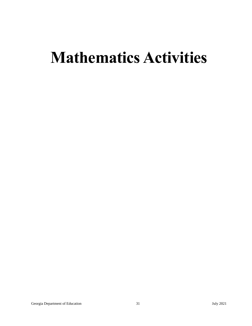## **Mathematics Activities**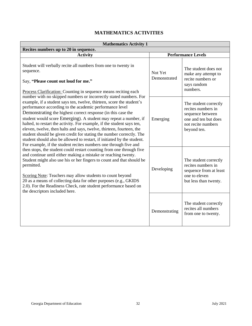## **MATHEMATICS ACTIVITIES**

<span id="page-31-0"></span>

| <b>Mathematics Activity 1</b>                                                                                                                                                                                                                                                                                                                                                                                                                                                                                                                                                                                                                                                                                                                                                                                                                                                                                                                                                                                                                                                                                                                                                                                                                                                                                                                                                         |                         |                                                                                                                              |  |
|---------------------------------------------------------------------------------------------------------------------------------------------------------------------------------------------------------------------------------------------------------------------------------------------------------------------------------------------------------------------------------------------------------------------------------------------------------------------------------------------------------------------------------------------------------------------------------------------------------------------------------------------------------------------------------------------------------------------------------------------------------------------------------------------------------------------------------------------------------------------------------------------------------------------------------------------------------------------------------------------------------------------------------------------------------------------------------------------------------------------------------------------------------------------------------------------------------------------------------------------------------------------------------------------------------------------------------------------------------------------------------------|-------------------------|------------------------------------------------------------------------------------------------------------------------------|--|
| Recites numbers up to 20 in sequence.                                                                                                                                                                                                                                                                                                                                                                                                                                                                                                                                                                                                                                                                                                                                                                                                                                                                                                                                                                                                                                                                                                                                                                                                                                                                                                                                                 |                         |                                                                                                                              |  |
| <b>Activity</b>                                                                                                                                                                                                                                                                                                                                                                                                                                                                                                                                                                                                                                                                                                                                                                                                                                                                                                                                                                                                                                                                                                                                                                                                                                                                                                                                                                       |                         | <b>Performance Levels</b>                                                                                                    |  |
| Student will verbally recite all numbers from one to twenty in<br>sequence.<br>Say, "Please count out loud for me."<br>Process Clarification: Counting in sequence means reciting each<br>number with no skipped numbers or incorrectly stated numbers. For<br>example, if a student says ten, twelve, thirteen, score the student's<br>performance according to the academic performance level<br>Demonstrating the highest correct response (in this case the<br>student would score Emerging). A student may repeat a number, if<br>halted, to restart the activity. For example, if the student says ten,<br>eleven, twelve, then halts and says, twelve, thirteen, fourteen, the<br>student should be given credit for stating the number correctly. The<br>student should also be allowed to restart, if initiated by the student.<br>For example, if the student recites numbers one through five and<br>then stops, the student could restart counting from one through five<br>and continue until either making a mistake or reaching twenty.<br>Student might also use his or her fingers to count and that should be<br>permitted.<br>Scoring Note: Teachers may allow students to count beyond<br>20 as a means of collecting data for other purposes (e.g., GKIDS)<br>2.0). For the Readiness Check, rate student performance based on<br>the descriptors included here. | Not Yet<br>Demonstrated | The student does not<br>make any attempt to<br>recite numbers or<br>says random<br>numbers.                                  |  |
|                                                                                                                                                                                                                                                                                                                                                                                                                                                                                                                                                                                                                                                                                                                                                                                                                                                                                                                                                                                                                                                                                                                                                                                                                                                                                                                                                                                       | Emerging                | The student correctly<br>recites numbers in<br>sequence between<br>one and ten but does<br>not recite numbers<br>beyond ten. |  |
|                                                                                                                                                                                                                                                                                                                                                                                                                                                                                                                                                                                                                                                                                                                                                                                                                                                                                                                                                                                                                                                                                                                                                                                                                                                                                                                                                                                       | Developing              | The student correctly<br>recites numbers in<br>sequence from at least<br>one to eleven<br>but less than twenty.              |  |
|                                                                                                                                                                                                                                                                                                                                                                                                                                                                                                                                                                                                                                                                                                                                                                                                                                                                                                                                                                                                                                                                                                                                                                                                                                                                                                                                                                                       | Demonstrating           | The student correctly<br>recites all numbers<br>from one to twenty.                                                          |  |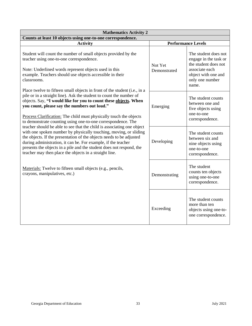| <b>Mathematics Activity 2</b>                                                                                                                                                                                                                                                                                                                                                                                          |                         |                                                                                                                                            |  |
|------------------------------------------------------------------------------------------------------------------------------------------------------------------------------------------------------------------------------------------------------------------------------------------------------------------------------------------------------------------------------------------------------------------------|-------------------------|--------------------------------------------------------------------------------------------------------------------------------------------|--|
| Counts at least 10 objects using one-to-one correspondence.                                                                                                                                                                                                                                                                                                                                                            |                         |                                                                                                                                            |  |
| <b>Activity</b>                                                                                                                                                                                                                                                                                                                                                                                                        |                         | <b>Performance Levels</b>                                                                                                                  |  |
| Student will count the number of small objects provided by the<br>teacher using one-to-one correspondence.<br>Note: Underlined words represent objects used in this<br>example. Teachers should use objects accessible in their<br>classrooms.                                                                                                                                                                         | Not Yet<br>Demonstrated | The student does not<br>engage in the task or<br>the student does not<br>associate each<br>object with one and<br>only one number<br>name. |  |
| Place twelve to fifteen small objects in front of the student (i.e., in a<br>pile or in a straight line). Ask the student to count the number of<br>objects. Say, "I would like for you to count these objects. When<br>you count, please say the numbers out loud."<br>Process Clarification: The child must physically touch the objects<br>to demonstrate counting using one-to-one correspondence. The             | Emerging                | The student counts<br>between one and<br>five objects using<br>one-to-one<br>correspondence.                                               |  |
| teacher should be able to see that the child is associating one object<br>with one spoken number by physically touching, moving, or sliding<br>the objects. If the presentation of the objects needs to be adjusted<br>during administration, it can be. For example, if the teacher<br>presents the objects in a pile and the student does not respond, the<br>teacher may then place the objects in a straight line. | Developing              | The student counts<br>between six and<br>nine objects using<br>one-to-one<br>correspondence.                                               |  |
| Materials: Twelve to fifteen small objects (e.g., pencils,<br>crayons, manipulatives, etc.)                                                                                                                                                                                                                                                                                                                            | Demonstrating           | The student<br>counts ten objects<br>using one-to-one<br>correspondence.                                                                   |  |
|                                                                                                                                                                                                                                                                                                                                                                                                                        | Exceeding               | The student counts<br>more than ten<br>objects using one-to-<br>one correspondence.                                                        |  |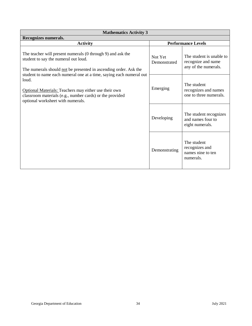| <b>Mathematics Activity 3</b>                                                                                                                                                                                                                 |                           |                                                                        |  |
|-----------------------------------------------------------------------------------------------------------------------------------------------------------------------------------------------------------------------------------------------|---------------------------|------------------------------------------------------------------------|--|
| Recognizes numerals.                                                                                                                                                                                                                          |                           |                                                                        |  |
| <b>Activity</b>                                                                                                                                                                                                                               | <b>Performance Levels</b> |                                                                        |  |
| The teacher will present numerals (0 through 9) and ask the<br>student to say the numeral out loud.<br>The numerals should not be presented in ascending order. Ask the                                                                       | Not Yet<br>Demonstrated   | The student is unable to<br>recognize and name<br>any of the numerals. |  |
| student to name each numeral one at a time, saying each numeral out<br>loud.<br><b>Optional Materials: Teachers may either use their own</b><br>classroom materials (e.g., number cards) or the provided<br>optional worksheet with numerals. | Emerging                  | The student<br>recognizes and names<br>one to three numerals.          |  |
|                                                                                                                                                                                                                                               | Developing                | The student recognizes<br>and names four to<br>eight numerals.         |  |
|                                                                                                                                                                                                                                               | Demonstrating             | The student<br>recognizes and<br>names nine to ten<br>numerals.        |  |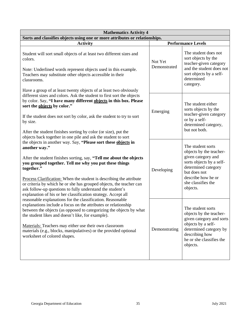| <b>Mathematics Activity 4</b>                                                                                                                                                                                                                                                                                                                                                                                                                                                                              |                         |                                                                                                                                                                                               |  |
|------------------------------------------------------------------------------------------------------------------------------------------------------------------------------------------------------------------------------------------------------------------------------------------------------------------------------------------------------------------------------------------------------------------------------------------------------------------------------------------------------------|-------------------------|-----------------------------------------------------------------------------------------------------------------------------------------------------------------------------------------------|--|
| Sorts and classifies objects using one or more attributes or relationships.                                                                                                                                                                                                                                                                                                                                                                                                                                |                         |                                                                                                                                                                                               |  |
| <b>Activity</b>                                                                                                                                                                                                                                                                                                                                                                                                                                                                                            |                         | <b>Performance Levels</b>                                                                                                                                                                     |  |
| Student will sort small objects of at least two different sizes and<br>colors.<br>Note: Underlined words represent objects used in this example.<br>Teachers may substitute other objects accessible in their<br>classrooms.<br>Have a group of at least twenty objects of at least two obviously                                                                                                                                                                                                          | Not Yet<br>Demonstrated | The student does not<br>sort objects by the<br>teacher-given category<br>and the student does not<br>sort objects by a self-<br>determined<br>category.                                       |  |
| different sizes and colors. Ask the student to first sort the objects<br>by color. Say, "I have many different objects in this box. Please<br>sort the objects by color."<br>If the student does not sort by color, ask the student to try to sort<br>by size.<br>After the student finishes sorting by color (or size), put the<br>objects back together in one pile and ask the student to sort                                                                                                          | Emerging                | The student either<br>sorts objects by the<br>teacher-given category<br>or by a self-<br>determined category,<br>but not both.                                                                |  |
| the objects in another way. Say, "Please sort these objects in<br>another way."<br>After the student finishes sorting, say, "Tell me about the objects<br>you grouped together. Tell me why you put these things<br>together."<br>Process Clarification: When the student is describing the attribute<br>or criteria by which he or she has grouped objects, the teacher can<br>ask follow-up questions to fully understand the student's<br>explanation of his or her classification strategy. Accept all | Developing              | The student sorts<br>objects by the teacher-<br>given category and<br>sorts objects by a self-<br>determined category<br>but does not<br>describe how he or<br>she classifies the<br>objects. |  |
| reasonable explanations for the classification. Reasonable<br>explanations include a focus on the attributes or relationship<br>between the objects (as opposed to categorizing the objects by what<br>the student likes and doesn't like, for example).<br>Materials: Teachers may either use their own classroom<br>materials (e.g., blocks, manipulatives) or the provided optional<br>worksheet of colored shapes.                                                                                     | Demonstrating           | The student sorts<br>objects by the teacher-<br>given category and sorts<br>objects by a self-<br>determined category by<br>describing how<br>he or she classifies the<br>objects.            |  |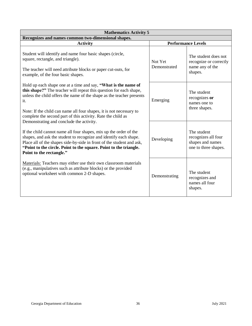| <b>Mathematics Activity 5</b>                                                                                                                                                                                                                                                                                                                                |                           |                                                                                |  |
|--------------------------------------------------------------------------------------------------------------------------------------------------------------------------------------------------------------------------------------------------------------------------------------------------------------------------------------------------------------|---------------------------|--------------------------------------------------------------------------------|--|
| Recognizes and names common two-dimensional shapes.                                                                                                                                                                                                                                                                                                          |                           |                                                                                |  |
| <b>Activity</b>                                                                                                                                                                                                                                                                                                                                              | <b>Performance Levels</b> |                                                                                |  |
| Student will identify and name four basic shapes (circle,<br>square, rectangle, and triangle).<br>The teacher will need attribute blocks or paper cut-outs, for<br>example, of the four basic shapes.                                                                                                                                                        | Not Yet<br>Demonstrated   | The student does not<br>recognize or correctly<br>name any of the<br>shapes.   |  |
| Hold up each shape one at a time and say, "What is the name of<br>this shape?" The teacher will repeat this question for each shape,<br>unless the child offers the name of the shape as the teacher presents<br>it.<br>Note: If the child can name all four shapes, it is not necessary to<br>complete the second part of this activity. Rate the child as  | Emerging                  | The student<br>recognizes or<br>names one to<br>three shapes.                  |  |
| Demonstrating and conclude the activity.<br>If the child cannot name all four shapes, mix up the order of the<br>shapes, and ask the student to recognize and identify each shape.<br>Place all of the shapes side-by-side in front of the student and ask,<br>"Point to the circle. Point to the square. Point to the triangle.<br>Point to the rectangle." | Developing                | The student<br>recognizes all four<br>shapes and names<br>one to three shapes. |  |
| Materials: Teachers may either use their own classroom materials<br>(e.g., manipulatives such as attribute blocks) or the provided<br>optional worksheet with common 2-D shapes.                                                                                                                                                                             | Demonstrating             | The student<br>recognizes and<br>names all four<br>shapes.                     |  |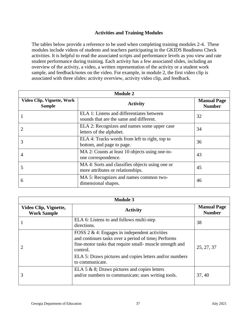#### **Activities and Training Modules**

<span id="page-36-0"></span>The tables below provide a reference to be used when completing training modules 2-4. These modules include videos of students and teachers participating in the GKIDS Readiness Check activities. It is helpful to read the associated scripts and performance levels as you view and rate student performance during training. Each activity has a few associated slides, including an overview of the activity, a video, a written representation of the activity or a student work sample, and feedback/notes on the video. For example, in module 2, the first video clip is associated with three slides: activity overview, activity video clip, and feedback.

| <b>Module 2</b>                             |                                                                                      |                                     |
|---------------------------------------------|--------------------------------------------------------------------------------------|-------------------------------------|
| Video Clip, Vignette, Work<br><b>Sample</b> | <b>Activity</b>                                                                      | <b>Manual Page</b><br><b>Number</b> |
|                                             | ELA 1: Listens and differentiates between<br>sounds that are the same and different. | 32                                  |
|                                             | ELA 2: Recognizes and names some upper case<br>letters of the alphabet.              | 34                                  |
| 3                                           | ELA 4: Tracks words from left to right, top to<br>bottom, and page to page.          | 36                                  |
| 4                                           | MA 2: Counts at least 10 objects using one-to-<br>one correspondence.                | 43                                  |
|                                             | MA 4: Sorts and classifies objects using one or<br>more attributes or relationships. | 45                                  |
| 6                                           | MA 5: Recognizes and names common two-<br>dimensional shapes.                        | 46                                  |

| <b>Module 3</b>                             |                                                                                                                                                                                                                                                                |                                     |
|---------------------------------------------|----------------------------------------------------------------------------------------------------------------------------------------------------------------------------------------------------------------------------------------------------------------|-------------------------------------|
| Video Clip, Vignette,<br><b>Work Sample</b> | <b>Activity</b>                                                                                                                                                                                                                                                | <b>Manual Page</b><br><b>Number</b> |
|                                             | ELA 6: Listens to and follows multi-step<br>directions.                                                                                                                                                                                                        | 38                                  |
|                                             | FOSS $2 \& 4$ : Engages in independent activities<br>and continues tasks over a period of time; Performs<br>fine-motor tasks that require small- muscle strength and<br>control.<br>ELA 5: Draws pictures and copies letters and/or numbers<br>to communicate. | 25, 27, 37                          |
| 3                                           | ELA 5 $\&$ 8; Draws pictures and copies letters<br>and/or numbers to communicate; uses writing tools.                                                                                                                                                          | 37, 40                              |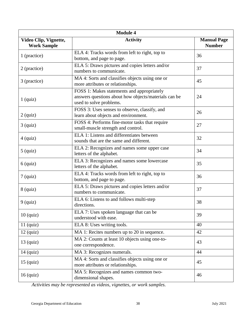| <b>Module 4</b>                             |                                                                                                                               |                                     |  |
|---------------------------------------------|-------------------------------------------------------------------------------------------------------------------------------|-------------------------------------|--|
| Video Clip, Vignette,<br><b>Work Sample</b> | <b>Activity</b>                                                                                                               | <b>Manual Page</b><br><b>Number</b> |  |
| 1 (practice)                                | ELA 4: Tracks words from left to right, top to<br>bottom, and page to page.                                                   | 36                                  |  |
| 2 (practice)                                | ELA 5: Draws pictures and copies letters and/or<br>numbers to communicate.                                                    | 37                                  |  |
| 3 (practice)                                | MA 4: Sorts and classifies objects using one or<br>more attributes or relationships.                                          | 45                                  |  |
| $1$ (quiz)                                  | FOSS 1: Makes statements and appropriately<br>answers questions about how objects/materials can be<br>used to solve problems. | 24                                  |  |
| $2$ (quiz)                                  | FOSS 3: Uses senses to observe, classify, and<br>learn about objects and environment.                                         | 26                                  |  |
| $3$ (quiz)                                  | FOSS 4: Performs fine-motor tasks that require<br>small-muscle strength and control.                                          | 27                                  |  |
| $4$ (quiz)                                  | ELA 1: Listens and differentiates between<br>sounds that are the same and different.                                          | 32                                  |  |
| $5$ (quiz)                                  | ELA 2: Recognizes and names some upper case<br>letters of the alphabet.                                                       | 34                                  |  |
| $6$ (quiz)                                  | ELA 3: Recognizes and names some lowercase<br>letters of the alphabet.                                                        | 35                                  |  |
| $7$ (quiz)                                  | ELA 4: Tracks words from left to right, top to<br>bottom, and page to page.                                                   | 36                                  |  |
| $8$ (quiz)                                  | ELA 5: Draws pictures and copies letters and/or<br>numbers to communicate.                                                    | 37                                  |  |
| $9$ (quiz)                                  | ELA 6: Listens to and follows multi-step<br>directions.                                                                       | 38                                  |  |
| $10$ (quiz)                                 | ELA 7: Uses spoken language that can be<br>understood with ease.                                                              | 39                                  |  |
| $11$ (quiz)                                 | ELA 8: Uses writing tools.                                                                                                    | 40                                  |  |
| $12 \text{ (quiz)}$                         | MA 1: Recites numbers up to 20 in sequence.                                                                                   | 42                                  |  |
| $13$ (quiz)                                 | MA 2: Counts at least 10 objects using one-to-<br>one correspondence.                                                         | 43                                  |  |
| $14$ (quiz)                                 | MA 3: Recognizes numerals.                                                                                                    | 44                                  |  |
| $15$ (quiz)                                 | MA 4: Sorts and classifies objects using one or<br>more attributes or relationships.                                          | 45                                  |  |
| 16 (quiz)                                   | MA 5: Recognizes and names common two-<br>dimensional shapes.                                                                 | 46                                  |  |

*Activities may be represented as videos, vignettes, or work samples.*